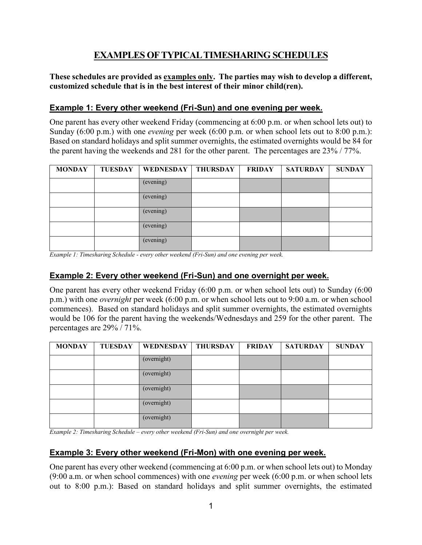# **EXAMPLES OF TYPICAL TIMESHARING SCHEDULES**

#### **These schedules are provided as examples only. The parties may wish to develop a different, customized schedule that is in the best interest of their minor child(ren).**

## **Example 1: Every other weekend (Fri-Sun) and one evening per week.**

One parent has every other weekend Friday (commencing at 6:00 p.m. or when school lets out) to Sunday (6:00 p.m.) with one *evening* per week (6:00 p.m. or when school lets out to 8:00 p.m.): Based on standard holidays and split summer overnights, the estimated overnights would be 84 for the parent having the weekends and 281 for the other parent. The percentages are 23% / 77%.

| <b>MONDAY</b> | <b>TUESDAY</b> | WEDNESDAY   THURSDAY | <b>FRIDAY</b> | <b>SATURDAY</b> | <b>SUNDAY</b> |
|---------------|----------------|----------------------|---------------|-----------------|---------------|
|               |                | (evening)            |               |                 |               |
|               |                | (evening)            |               |                 |               |
|               |                | (evening)            |               |                 |               |
|               |                | (evening)            |               |                 |               |
|               |                | (evening)            |               |                 |               |

*Example 1: Timesharing Schedule - every other weekend (Fri-Sun) and one evening per week.*

# **Example 2: Every other weekend (Fri-Sun) and one overnight per week.**

One parent has every other weekend Friday (6:00 p.m. or when school lets out) to Sunday (6:00 p.m.) with one *overnight* per week (6:00 p.m. or when school lets out to 9:00 a.m. or when school commences). Based on standard holidays and split summer overnights, the estimated overnights would be 106 for the parent having the weekends/Wednesdays and 259 for the other parent. The percentages are 29% / 71%.

| <b>MONDAY</b> | <b>TUESDAY</b> | WEDNESDAY   THURSDAY | <b>FRIDAY</b> | <b>SATURDAY</b> | <b>SUNDAY</b> |
|---------------|----------------|----------------------|---------------|-----------------|---------------|
|               |                | (overnight)          |               |                 |               |
|               |                | (overnight)          |               |                 |               |
|               |                | (overnight)          |               |                 |               |
|               |                | (overnight)          |               |                 |               |
|               |                | (overnight)          |               |                 |               |

*Example 2: Timesharing Schedule – every other weekend (Fri-Sun) and one overnight per week.*

#### **Example 3: Every other weekend (Fri-Mon) with one evening per week.**

One parent has every other weekend (commencing at 6:00 p.m. or when school lets out) to Monday (9:00 a.m. or when school commences) with one *evening* per week (6:00 p.m. or when school lets out to 8:00 p.m.): Based on standard holidays and split summer overnights, the estimated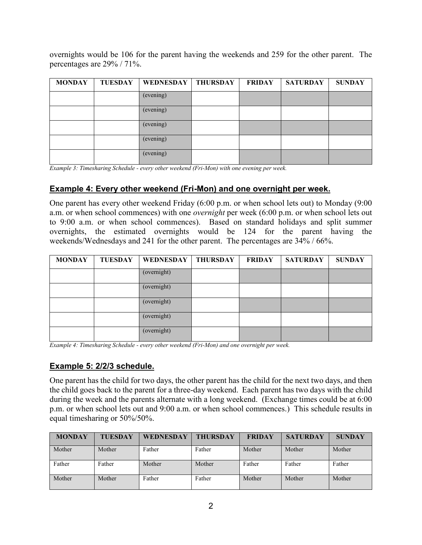overnights would be 106 for the parent having the weekends and 259 for the other parent. The percentages are 29% / 71%.

| <b>MONDAY</b> | <b>TUESDAY</b> | WEDNESDAY   THURSDAY | <b>FRIDAY</b> | <b>SATURDAY</b> | <b>SUNDAY</b> |
|---------------|----------------|----------------------|---------------|-----------------|---------------|
|               |                | (evening)            |               |                 |               |
|               |                | (evening)            |               |                 |               |
|               |                | (evening)            |               |                 |               |
|               |                | (evening)            |               |                 |               |
|               |                | (evening)            |               |                 |               |

*Example 3: Timesharing Schedule - every other weekend (Fri-Mon) with one evening per week.*

## **Example 4: Every other weekend (Fri-Mon) and one overnight per week.**

One parent has every other weekend Friday (6:00 p.m. or when school lets out) to Monday (9:00 a.m. or when school commences) with one *overnight* per week (6:00 p.m. or when school lets out to 9:00 a.m. or when school commences). Based on standard holidays and split summer overnights, the estimated overnights would be 124 for the parent having the weekends/Wednesdays and 241 for the other parent. The percentages are 34% / 66%.

| <b>MONDAY</b> | <b>TUESDAY</b> | WEDNESDAY   THURSDAY | <b>FRIDAY</b> | <b>SATURDAY</b> | <b>SUNDAY</b> |
|---------------|----------------|----------------------|---------------|-----------------|---------------|
|               |                | (overnight)          |               |                 |               |
|               |                | (overnight)          |               |                 |               |
|               |                | (overnight)          |               |                 |               |
|               |                | (overnight)          |               |                 |               |
|               |                | (overnight)          |               |                 |               |

*Example 4: Timesharing Schedule - every other weekend (Fri-Mon) and one overnight per week.*

#### **Example 5: 2/2/3 schedule.**

One parent has the child for two days, the other parent has the child for the next two days, and then the child goes back to the parent for a three-day weekend. Each parent has two days with the child during the week and the parents alternate with a long weekend. (Exchange times could be at 6:00 p.m. or when school lets out and 9:00 a.m. or when school commences.) This schedule results in equal timesharing or 50%/50%.

| <b>MONDAY</b> | <b>TUESDAY</b> | <b>WEDNESDAY</b> | <b>THURSDAY</b> | <b>FRIDAY</b> | <b>SATURDAY</b> | <b>SUNDAY</b> |
|---------------|----------------|------------------|-----------------|---------------|-----------------|---------------|
| Mother        | Mother         | Father           | Father          | Mother        | Mother          | Mother        |
| Father        | Father         | Mother           | Mother          | Father        | Father          | Father        |
| Mother        | Mother         | Father           | Father          | Mother        | Mother          | Mother        |